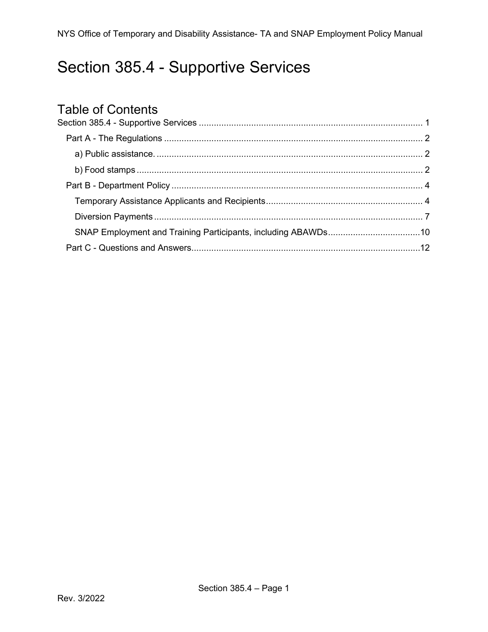## <span id="page-0-0"></span>Section 385.4 - Supportive Services

# Table of Contents<br>Section 385.4 - Supportive

<span id="page-0-1"></span>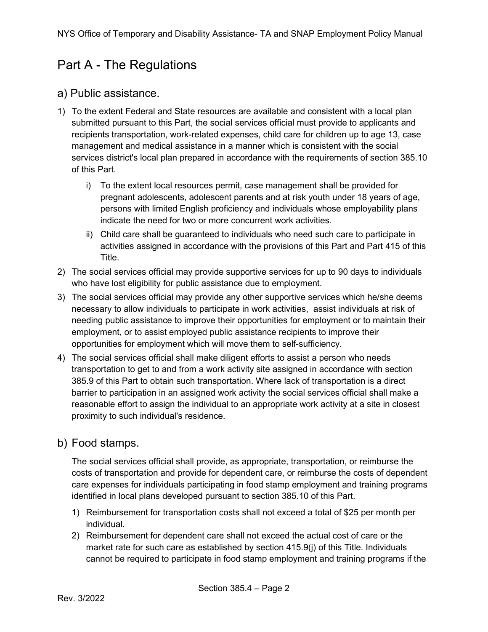## Part A - The Regulations

#### <span id="page-1-0"></span>a) Public assistance.

- 1) To the extent Federal and State resources are available and consistent with a local plan submitted pursuant to this Part, the social services official must provide to applicants and recipients transportation, work-related expenses, child care for children up to age 13, case management and medical assistance in a manner which is consistent with the social services district's local plan prepared in accordance with the requirements of section 385.10 of this Part.
	- i) To the extent local resources permit, case management shall be provided for pregnant adolescents, adolescent parents and at risk youth under 18 years of age, persons with limited English proficiency and individuals whose employability plans indicate the need for two or more concurrent work activities.
	- ii) Child care shall be guaranteed to individuals who need such care to participate in activities assigned in accordance with the provisions of this Part and Part 415 of this Title.
- 2) The social services official may provide supportive services for up to 90 days to individuals who have lost eligibility for public assistance due to employment.
- 3) The social services official may provide any other supportive services which he/she deems necessary to allow individuals to participate in work activities, assist individuals at risk of needing public assistance to improve their opportunities for employment or to maintain their employment, or to assist employed public assistance recipients to improve their opportunities for employment which will move them to self-sufficiency.
- 4) The social services official shall make diligent efforts to assist a person who needs transportation to get to and from a work activity site assigned in accordance with section 385.9 of this Part to obtain such transportation. Where lack of transportation is a direct barrier to participation in an assigned work activity the social services official shall make a reasonable effort to assign the individual to an appropriate work activity at a site in closest proximity to such individual's residence.

#### <span id="page-1-1"></span>b) Food stamps.

The social services official shall provide, as appropriate, transportation, or reimburse the costs of transportation and provide for dependent care, or reimburse the costs of dependent care expenses for individuals participating in food stamp employment and training programs identified in local plans developed pursuant to section 385.10 of this Part.

- 1) Reimbursement for transportation costs shall not exceed a total of \$25 per month per individual.
- 2) Reimbursement for dependent care shall not exceed the actual cost of care or the market rate for such care as established by section 415.9(j) of this Title. Individuals cannot be required to participate in food stamp employment and training programs if the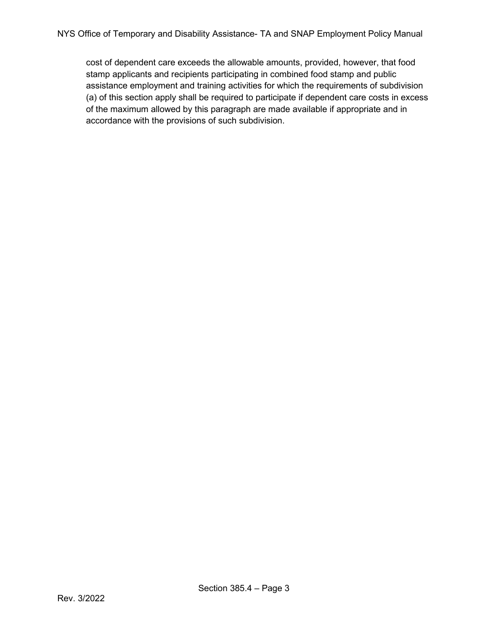cost of dependent care exceeds the allowable amounts, provided, however, that food stamp applicants and recipients participating in combined food stamp and public assistance employment and training activities for which the requirements of subdivision (a) of this section apply shall be required to participate if dependent care costs in excess of the maximum allowed by this paragraph are made available if appropriate and in accordance with the provisions of such subdivision.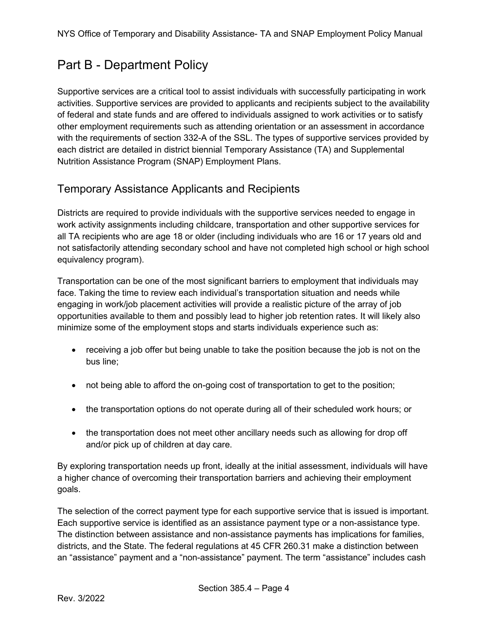## <span id="page-3-0"></span>Part B - Department Policy

Supportive services are a critical tool to assist individuals with successfully participating in work activities. Supportive services are provided to applicants and recipients subject to the availability of federal and state funds and are offered to individuals assigned to work activities or to satisfy other employment requirements such as attending orientation or an assessment in accordance with the requirements of section 332-A of the SSL. The types of supportive services provided by each district are detailed in district biennial Temporary Assistance (TA) and Supplemental Nutrition Assistance Program (SNAP) Employment Plans.

#### <span id="page-3-1"></span>Temporary Assistance Applicants and Recipients

Districts are required to provide individuals with the supportive services needed to engage in work activity assignments including childcare, transportation and other supportive services for all TA recipients who are age 18 or older (including individuals who are 16 or 17 years old and not satisfactorily attending secondary school and have not completed high school or high school equivalency program).

Transportation can be one of the most significant barriers to employment that individuals may face. Taking the time to review each individual's transportation situation and needs while engaging in work/job placement activities will provide a realistic picture of the array of job opportunities available to them and possibly lead to higher job retention rates. It will likely also minimize some of the employment stops and starts individuals experience such as:

- receiving a job offer but being unable to take the position because the job is not on the bus line;
- not being able to afford the on-going cost of transportation to get to the position;
- the transportation options do not operate during all of their scheduled work hours; or
- the transportation does not meet other ancillary needs such as allowing for drop off and/or pick up of children at day care.

By exploring transportation needs up front, ideally at the initial assessment, individuals will have a higher chance of overcoming their transportation barriers and achieving their employment goals.

The selection of the correct payment type for each supportive service that is issued is important. Each supportive service is identified as an assistance payment type or a non-assistance type. The distinction between assistance and non-assistance payments has implications for families, districts, and the State. The federal regulations at 45 CFR 260.31 make a distinction between an "assistance" payment and a "non-assistance" payment. The term "assistance" includes cash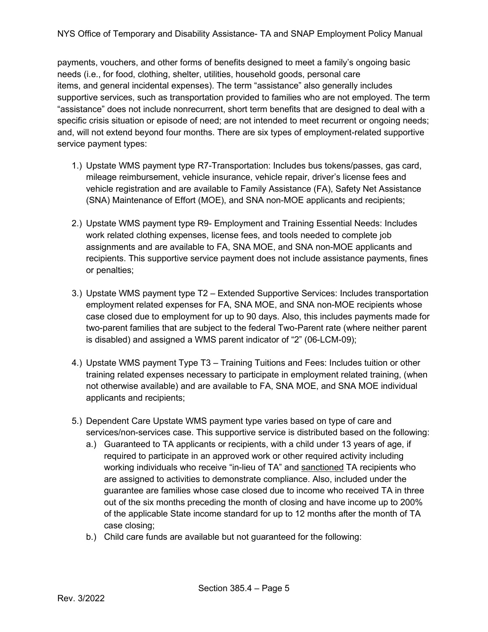payments, vouchers, and other forms of benefits designed to meet a family's ongoing basic needs (i.e., for food, clothing, shelter, utilities, household goods, personal care items, and general incidental expenses). The term "assistance" also generally includes supportive services, such as transportation provided to families who are not employed. The term "assistance" does not include nonrecurrent, short term benefits that are designed to deal with a specific crisis situation or episode of need; are not intended to meet recurrent or ongoing needs; and, will not extend beyond four months. There are six types of employment-related supportive service payment types:

- 1.) Upstate WMS payment type R7-Transportation: Includes bus tokens/passes, gas card, mileage reimbursement, vehicle insurance, vehicle repair, driver's license fees and vehicle registration and are available to Family Assistance (FA), Safety Net Assistance (SNA) Maintenance of Effort (MOE), and SNA non-MOE applicants and recipients;
- 2.) Upstate WMS payment type R9- Employment and Training Essential Needs: Includes work related clothing expenses, license fees, and tools needed to complete job assignments and are available to FA, SNA MOE, and SNA non-MOE applicants and recipients. This supportive service payment does not include assistance payments, fines or penalties;
- 3.) Upstate WMS payment type T2 Extended Supportive Services: Includes transportation employment related expenses for FA, SNA MOE, and SNA non-MOE recipients whose case closed due to employment for up to 90 days. Also, this includes payments made for two-parent families that are subject to the federal Two-Parent rate (where neither parent is disabled) and assigned a WMS parent indicator of "2" (06-LCM-09);
- 4.) Upstate WMS payment Type T3 Training Tuitions and Fees: Includes tuition or other training related expenses necessary to participate in employment related training, (when not otherwise available) and are available to FA, SNA MOE, and SNA MOE individual applicants and recipients;
- 5.) Dependent Care Upstate WMS payment type varies based on type of care and services/non-services case. This supportive service is distributed based on the following:
	- a.) Guaranteed to TA applicants or recipients, with a child under 13 years of age, if required to participate in an approved work or other required activity including working individuals who receive "in-lieu of TA" and sanctioned TA recipients who are assigned to activities to demonstrate compliance. Also, included under the guarantee are families whose case closed due to income who received TA in three out of the six months preceding the month of closing and have income up to 200% of the applicable State income standard for up to 12 months after the month of TA case closing;
	- b.) Child care funds are available but not guaranteed for the following: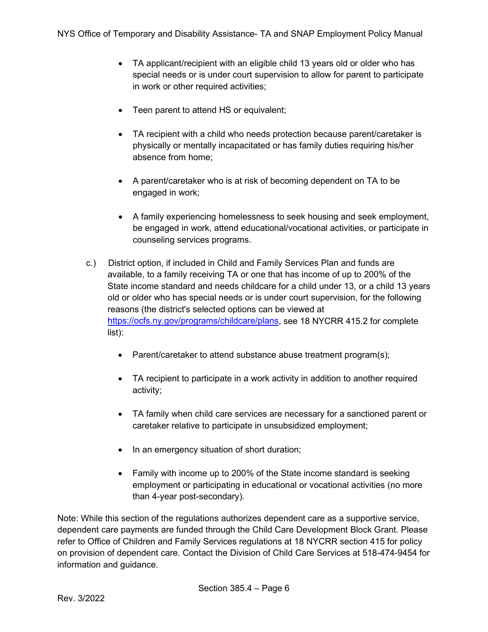- TA applicant/recipient with an eligible child 13 years old or older who has special needs or is under court supervision to allow for parent to participate in work or other required activities;
- Teen parent to attend HS or equivalent;
- TA recipient with a child who needs protection because parent/caretaker is physically or mentally incapacitated or has family duties requiring his/her absence from home;
- A parent/caretaker who is at risk of becoming dependent on TA to be engaged in work;
- A family experiencing homelessness to seek housing and seek employment, be engaged in work, attend educational/vocational activities, or participate in counseling services programs.
- c.) District option, if included in Child and Family Services Plan and funds are available, to a family receiving TA or one that has income of up to 200% of the State income standard and needs childcare for a child under 13, or a child 13 years old or older who has special needs or is under court supervision, for the following reasons (the district's selected options can be viewed at [https://ocfs.ny.gov/programs/childcare/plans,](https://ocfs.ny.gov/programs/childcare/plans) see 18 NYCRR 415.2 for complete list):
	- Parent/caretaker to attend substance abuse treatment program(s);
	- TA recipient to participate in a work activity in addition to another required activity;
	- TA family when child care services are necessary for a sanctioned parent or caretaker relative to participate in unsubsidized employment;
	- In an emergency situation of short duration;
	- Family with income up to 200% of the State income standard is seeking employment or participating in educational or vocational activities (no more than 4-year post-secondary).

Note: While this section of the regulations authorizes dependent care as a supportive service, dependent care payments are funded through the Child Care Development Block Grant. Please refer to Office of Children and Family Services regulations at 18 NYCRR section 415 for policy on provision of dependent care. Contact the Division of Child Care Services at 518-474-9454 for information and guidance.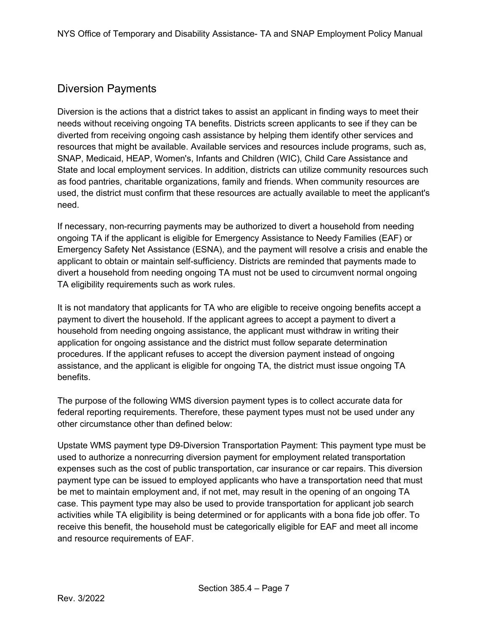#### <span id="page-6-0"></span>Diversion Payments

Diversion is the actions that a district takes to assist an applicant in finding ways to meet their needs without receiving ongoing TA benefits. Districts screen applicants to see if they can be diverted from receiving ongoing cash assistance by helping them identify other services and resources that might be available. Available services and resources include programs, such as, SNAP, Medicaid, HEAP, Women's, Infants and Children (WIC), Child Care Assistance and State and local employment services. In addition, districts can utilize community resources such as food pantries, charitable organizations, family and friends. When community resources are used, the district must confirm that these resources are actually available to meet the applicant's need.

If necessary, non-recurring payments may be authorized to divert a household from needing ongoing TA if the applicant is eligible for Emergency Assistance to Needy Families (EAF) or Emergency Safety Net Assistance (ESNA), and the payment will resolve a crisis and enable the applicant to obtain or maintain self-sufficiency. Districts are reminded that payments made to divert a household from needing ongoing TA must not be used to circumvent normal ongoing TA eligibility requirements such as work rules.

It is not mandatory that applicants for TA who are eligible to receive ongoing benefits accept a payment to divert the household. If the applicant agrees to accept a payment to divert a household from needing ongoing assistance, the applicant must withdraw in writing their application for ongoing assistance and the district must follow separate determination procedures. If the applicant refuses to accept the diversion payment instead of ongoing assistance, and the applicant is eligible for ongoing TA, the district must issue ongoing TA benefits.

The purpose of the following WMS diversion payment types is to collect accurate data for federal reporting requirements. Therefore, these payment types must not be used under any other circumstance other than defined below:

Upstate WMS payment type D9-Diversion Transportation Payment: This payment type must be used to authorize a nonrecurring diversion payment for employment related transportation expenses such as the cost of public transportation, car insurance or car repairs. This diversion payment type can be issued to employed applicants who have a transportation need that must be met to maintain employment and, if not met, may result in the opening of an ongoing TA case. This payment type may also be used to provide transportation for applicant job search activities while TA eligibility is being determined or for applicants with a bona fide job offer. To receive this benefit, the household must be categorically eligible for EAF and meet all income and resource requirements of EAF.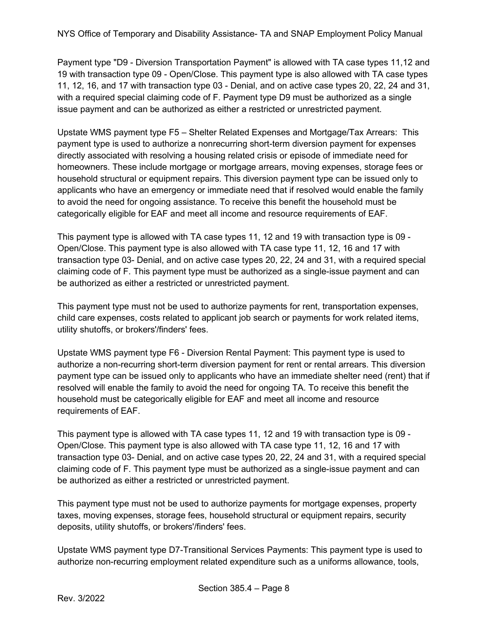Payment type "D9 - Diversion Transportation Payment" is allowed with TA case types 11,12 and 19 with transaction type 09 - Open/Close. This payment type is also allowed with TA case types 11, 12, 16, and 17 with transaction type 03 - Denial, and on active case types 20, 22, 24 and 31, with a required special claiming code of F. Payment type D9 must be authorized as a single issue payment and can be authorized as either a restricted or unrestricted payment.

Upstate WMS payment type F5 – Shelter Related Expenses and Mortgage/Tax Arrears: This payment type is used to authorize a nonrecurring short-term diversion payment for expenses directly associated with resolving a housing related crisis or episode of immediate need for homeowners. These include mortgage or mortgage arrears, moving expenses, storage fees or household structural or equipment repairs. This diversion payment type can be issued only to applicants who have an emergency or immediate need that if resolved would enable the family to avoid the need for ongoing assistance. To receive this benefit the household must be categorically eligible for EAF and meet all income and resource requirements of EAF.

This payment type is allowed with TA case types 11, 12 and 19 with transaction type is 09 - Open/Close. This payment type is also allowed with TA case type 11, 12, 16 and 17 with transaction type 03- Denial, and on active case types 20, 22, 24 and 31, with a required special claiming code of F. This payment type must be authorized as a single-issue payment and can be authorized as either a restricted or unrestricted payment.

This payment type must not be used to authorize payments for rent, transportation expenses, child care expenses, costs related to applicant job search or payments for work related items, utility shutoffs, or brokers'/finders' fees.

Upstate WMS payment type F6 - Diversion Rental Payment: This payment type is used to authorize a non-recurring short-term diversion payment for rent or rental arrears. This diversion payment type can be issued only to applicants who have an immediate shelter need (rent) that if resolved will enable the family to avoid the need for ongoing TA. To receive this benefit the household must be categorically eligible for EAF and meet all income and resource requirements of EAF.

This payment type is allowed with TA case types 11, 12 and 19 with transaction type is 09 - Open/Close. This payment type is also allowed with TA case type 11, 12, 16 and 17 with transaction type 03- Denial, and on active case types 20, 22, 24 and 31, with a required special claiming code of F. This payment type must be authorized as a single-issue payment and can be authorized as either a restricted or unrestricted payment.

This payment type must not be used to authorize payments for mortgage expenses, property taxes, moving expenses, storage fees, household structural or equipment repairs, security deposits, utility shutoffs, or brokers'/finders' fees.

Upstate WMS payment type D7-Transitional Services Payments: This payment type is used to authorize non-recurring employment related expenditure such as a uniforms allowance, tools,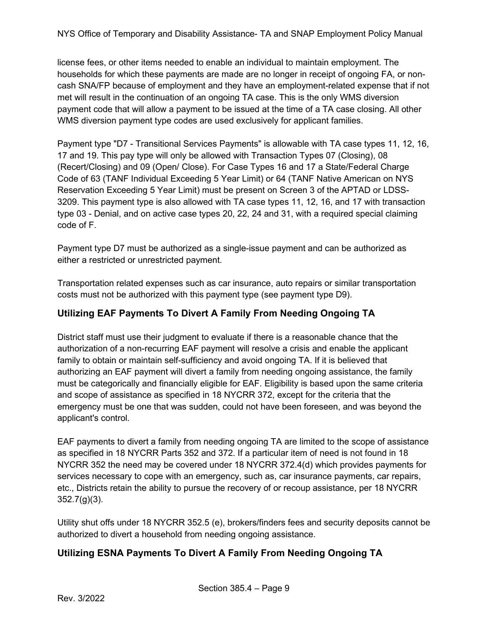NYS Office of Temporary and Disability Assistance- TA and SNAP Employment Policy Manual

license fees, or other items needed to enable an individual to maintain employment. The households for which these payments are made are no longer in receipt of ongoing FA, or noncash SNA/FP because of employment and they have an employment-related expense that if not met will result in the continuation of an ongoing TA case. This is the only WMS diversion payment code that will allow a payment to be issued at the time of a TA case closing. All other WMS diversion payment type codes are used exclusively for applicant families.

Payment type "D7 - Transitional Services Payments" is allowable with TA case types 11, 12, 16, 17 and 19. This pay type will only be allowed with Transaction Types 07 (Closing), 08 (Recert/Closing) and 09 (Open/ Close). For Case Types 16 and 17 a State/Federal Charge Code of 63 (TANF Individual Exceeding 5 Year Limit) or 64 (TANF Native American on NYS Reservation Exceeding 5 Year Limit) must be present on Screen 3 of the APTAD or LDSS-3209. This payment type is also allowed with TA case types 11, 12, 16, and 17 with transaction type 03 - Denial, and on active case types 20, 22, 24 and 31, with a required special claiming code of F.

Payment type D7 must be authorized as a single-issue payment and can be authorized as either a restricted or unrestricted payment.

Transportation related expenses such as car insurance, auto repairs or similar transportation costs must not be authorized with this payment type (see payment type D9).

#### **Utilizing EAF Payments To Divert A Family From Needing Ongoing TA**

District staff must use their judgment to evaluate if there is a reasonable chance that the authorization of a non-recurring EAF payment will resolve a crisis and enable the applicant family to obtain or maintain self-sufficiency and avoid ongoing TA. If it is believed that authorizing an EAF payment will divert a family from needing ongoing assistance, the family must be categorically and financially eligible for EAF. Eligibility is based upon the same criteria and scope of assistance as specified in 18 NYCRR 372, except for the criteria that the emergency must be one that was sudden, could not have been foreseen, and was beyond the applicant's control.

EAF payments to divert a family from needing ongoing TA are limited to the scope of assistance as specified in 18 NYCRR Parts 352 and 372. If a particular item of need is not found in 18 NYCRR 352 the need may be covered under 18 NYCRR 372.4(d) which provides payments for services necessary to cope with an emergency, such as, car insurance payments, car repairs, etc., Districts retain the ability to pursue the recovery of or recoup assistance, per 18 NYCRR 352.7(g)(3).

Utility shut offs under 18 NYCRR 352.5 (e), brokers/finders fees and security deposits cannot be authorized to divert a household from needing ongoing assistance.

#### **Utilizing ESNA Payments To Divert A Family From Needing Ongoing TA**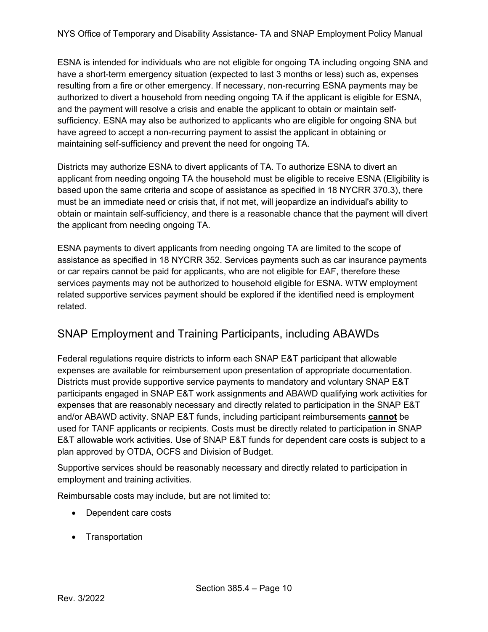ESNA is intended for individuals who are not eligible for ongoing TA including ongoing SNA and have a short-term emergency situation (expected to last 3 months or less) such as, expenses resulting from a fire or other emergency. If necessary, non-recurring ESNA payments may be authorized to divert a household from needing ongoing TA if the applicant is eligible for ESNA, and the payment will resolve a crisis and enable the applicant to obtain or maintain selfsufficiency. ESNA may also be authorized to applicants who are eligible for ongoing SNA but have agreed to accept a non-recurring payment to assist the applicant in obtaining or maintaining self-sufficiency and prevent the need for ongoing TA.

Districts may authorize ESNA to divert applicants of TA. To authorize ESNA to divert an applicant from needing ongoing TA the household must be eligible to receive ESNA (Eligibility is based upon the same criteria and scope of assistance as specified in 18 NYCRR 370.3), there must be an immediate need or crisis that, if not met, will jeopardize an individual's ability to obtain or maintain self-sufficiency, and there is a reasonable chance that the payment will divert the applicant from needing ongoing TA.

ESNA payments to divert applicants from needing ongoing TA are limited to the scope of assistance as specified in 18 NYCRR 352. Services payments such as car insurance payments or car repairs cannot be paid for applicants, who are not eligible for EAF, therefore these services payments may not be authorized to household eligible for ESNA. WTW employment related supportive services payment should be explored if the identified need is employment related.

#### <span id="page-9-0"></span>SNAP Employment and Training Participants, including ABAWDs

Federal regulations require districts to inform each SNAP E&T participant that allowable expenses are available for reimbursement upon presentation of appropriate documentation. Districts must provide supportive service payments to mandatory and voluntary SNAP E&T participants engaged in SNAP E&T work assignments and ABAWD qualifying work activities for expenses that are reasonably necessary and directly related to participation in the SNAP E&T and/or ABAWD activity. SNAP E&T funds, including participant reimbursements **cannot** be used for TANF applicants or recipients. Costs must be directly related to participation in SNAP E&T allowable work activities. Use of SNAP E&T funds for dependent care costs is subject to a plan approved by OTDA, OCFS and Division of Budget.

Supportive services should be reasonably necessary and directly related to participation in employment and training activities.

Reimbursable costs may include, but are not limited to:

- Dependent care costs
- Transportation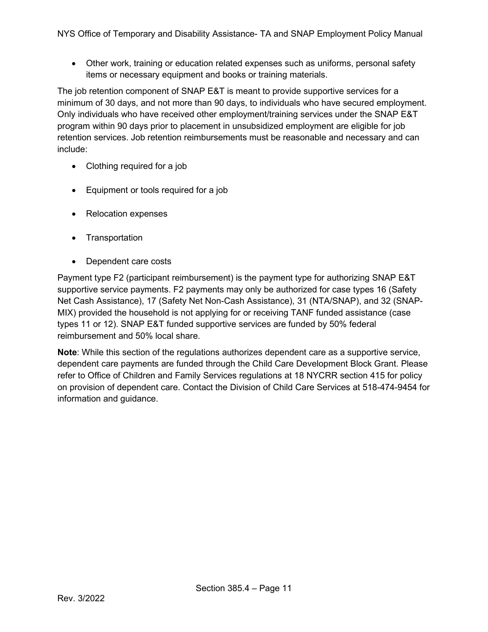• Other work, training or education related expenses such as uniforms, personal safety items or necessary equipment and books or training materials.

The job retention component of SNAP E&T is meant to provide supportive services for a minimum of 30 days, and not more than 90 days, to individuals who have secured employment. Only individuals who have received other employment/training services under the SNAP E&T program within 90 days prior to placement in unsubsidized employment are eligible for job retention services. Job retention reimbursements must be reasonable and necessary and can include:

- Clothing required for a job
- Equipment or tools required for a job
- Relocation expenses
- Transportation
- Dependent care costs

Payment type F2 (participant reimbursement) is the payment type for authorizing SNAP E&T supportive service payments. F2 payments may only be authorized for case types 16 (Safety Net Cash Assistance), 17 (Safety Net Non-Cash Assistance), 31 (NTA/SNAP), and 32 (SNAP-MIX) provided the household is not applying for or receiving TANF funded assistance (case types 11 or 12). SNAP E&T funded supportive services are funded by 50% federal reimbursement and 50% local share.

**Note**: While this section of the regulations authorizes dependent care as a supportive service, dependent care payments are funded through the Child Care Development Block Grant. Please refer to Office of Children and Family Services regulations at 18 NYCRR section 415 for policy on provision of dependent care. Contact the Division of Child Care Services at 518-474-9454 for information and guidance.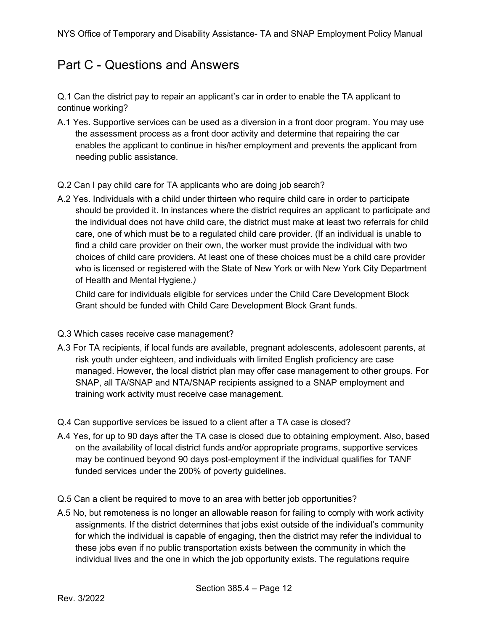### <span id="page-11-0"></span>Part C - Questions and Answers

Q.1 Can the district pay to repair an applicant's car in order to enable the TA applicant to continue working?

- A.1 Yes. Supportive services can be used as a diversion in a front door program. You may use the assessment process as a front door activity and determine that repairing the car enables the applicant to continue in his/her employment and prevents the applicant from needing public assistance.
- Q.2 Can I pay child care for TA applicants who are doing job search?
- A.2 Yes. Individuals with a child under thirteen who require child care in order to participate should be provided it. In instances where the district requires an applicant to participate and the individual does not have child care, the district must make at least two referrals for child care, one of which must be to a regulated child care provider. (If an individual is unable to find a child care provider on their own, the worker must provide the individual with two choices of child care providers. At least one of these choices must be a child care provider who is licensed or registered with the State of New York or with New York City Department of Health and Mental Hygiene*.)*

Child care for individuals eligible for services under the Child Care Development Block Grant should be funded with Child Care Development Block Grant funds.

- Q.3 Which cases receive case management?
- A.3 For TA recipients, if local funds are available, pregnant adolescents, adolescent parents, at risk youth under eighteen, and individuals with limited English proficiency are case managed. However, the local district plan may offer case management to other groups. For SNAP, all TA/SNAP and NTA/SNAP recipients assigned to a SNAP employment and training work activity must receive case management.
- Q.4 Can supportive services be issued to a client after a TA case is closed?
- A.4 Yes, for up to 90 days after the TA case is closed due to obtaining employment. Also, based on the availability of local district funds and/or appropriate programs, supportive services may be continued beyond 90 days post-employment if the individual qualifies for TANF funded services under the 200% of poverty guidelines.
- Q.5 Can a client be required to move to an area with better job opportunities?
- A.5 No, but remoteness is no longer an allowable reason for failing to comply with work activity assignments. If the district determines that jobs exist outside of the individual's community for which the individual is capable of engaging, then the district may refer the individual to these jobs even if no public transportation exists between the community in which the individual lives and the one in which the job opportunity exists. The regulations require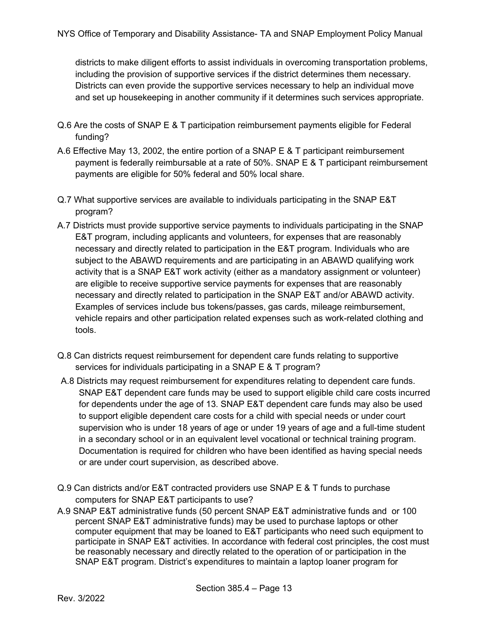districts to make diligent efforts to assist individuals in overcoming transportation problems, including the provision of supportive services if the district determines them necessary. Districts can even provide the supportive services necessary to help an individual move and set up housekeeping in another community if it determines such services appropriate.

- Q.6 Are the costs of SNAP E & T participation reimbursement payments eligible for Federal funding?
- A.6 Effective May 13, 2002, the entire portion of a SNAP E & T participant reimbursement payment is federally reimbursable at a rate of 50%. SNAP E & T participant reimbursement payments are eligible for 50% federal and 50% local share.
- Q.7 What supportive services are available to individuals participating in the SNAP E&T program?
- A.7 Districts must provide supportive service payments to individuals participating in the SNAP E&T program, including applicants and volunteers, for expenses that are reasonably necessary and directly related to participation in the E&T program. Individuals who are subject to the ABAWD requirements and are participating in an ABAWD qualifying work activity that is a SNAP E&T work activity (either as a mandatory assignment or volunteer) are eligible to receive supportive service payments for expenses that are reasonably necessary and directly related to participation in the SNAP E&T and/or ABAWD activity. Examples of services include bus tokens/passes, gas cards, mileage reimbursement, vehicle repairs and other participation related expenses such as work-related clothing and tools.
- Q.8 Can districts request reimbursement for dependent care funds relating to supportive services for individuals participating in a SNAP E & T program?
- A.8 Districts may request reimbursement for expenditures relating to dependent care funds. SNAP E&T dependent care funds may be used to support eligible child care costs incurred for dependents under the age of 13. SNAP E&T dependent care funds may also be used to support eligible dependent care costs for a child with special needs or under court supervision who is under 18 years of age or under 19 years of age and a full-time student in a secondary school or in an equivalent level vocational or technical training program. Documentation is required for children who have been identified as having special needs or are under court supervision, as described above.
- Q.9 Can districts and/or E&T contracted providers use SNAP E & T funds to purchase computers for SNAP E&T participants to use?
- A.9 SNAP E&T administrative funds (50 percent SNAP E&T administrative funds and or 100 percent SNAP E&T administrative funds) may be used to purchase laptops or other computer equipment that may be loaned to E&T participants who need such equipment to participate in SNAP E&T activities. In accordance with federal cost principles, the cost must be reasonably necessary and directly related to the operation of or participation in the SNAP E&T program. District's expenditures to maintain a laptop loaner program for